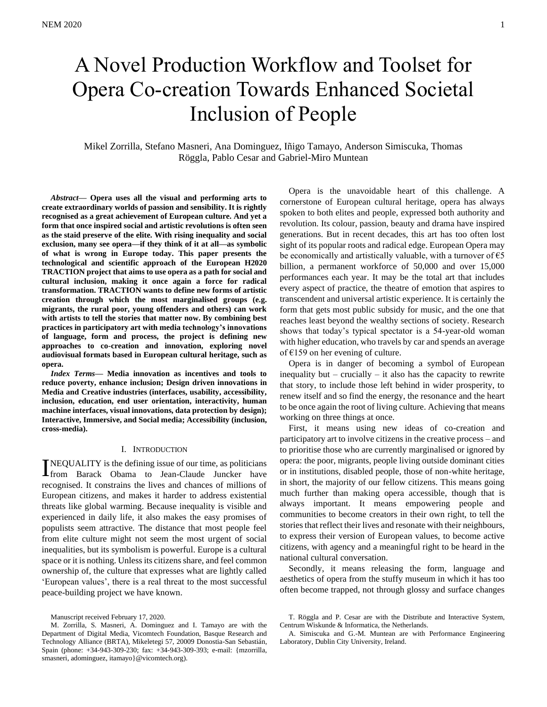# A Novel Production Workflow and Toolset for Opera Co-creation Towards Enhanced Societal Inclusion of People

Mikel Zorrilla, Stefano Masneri, Ana Dominguez, Iñigo Tamayo, Anderson Simiscuka, Thomas Röggla, Pablo Cesar and Gabriel-Miro Muntean

*Abstract***— Opera uses all the visual and performing arts to create extraordinary worlds of passion and sensibility. It is rightly recognised as a great achievement of European culture. And yet a form that once inspired social and artistic revolutions is often seen as the staid preserve of the elite. With rising inequality and social exclusion, many see opera—if they think of it at all—as symbolic of what is wrong in Europe today. This paper presents the technological and scientific approach of the European H2020 TRACTION project that aims to use opera as a path for social and cultural inclusion, making it once again a force for radical transformation. TRACTION wants to define new forms of artistic creation through which the most marginalised groups (e.g. migrants, the rural poor, young offenders and others) can work with artists to tell the stories that matter now. By combining best practices in participatory art with media technology's innovations of language, form and process, the project is defining new approaches to co-creation and innovation, exploring novel audiovisual formats based in European cultural heritage, such as opera.**

*Index Terms***— Media innovation as incentives and tools to reduce poverty, enhance inclusion; Design driven innovations in Media and Creative industries (interfaces, usability, accessibility, inclusion, education, end user orientation, interactivity, human machine interfaces, visual innovations, data protection by design); Interactive, Immersive, and Social media; Accessibility (inclusion, cross-media).**

#### I. INTRODUCTION

NEQUALITY is the defining issue of our time, as politicians **THEQUALITY** is the defining issue of our time, as politicians<br> **The Starter Langer Starter Langer Starter Langer Claude** Juncker have recognised. It constrains the lives and chances of millions of European citizens, and makes it harder to address existential threats like global warming. Because inequality is visible and experienced in daily life, it also makes the easy promises of populists seem attractive. The distance that most people feel from elite culture might not seem the most urgent of social inequalities, but its symbolism is powerful. Europe is a cultural space or it is nothing. Unless its citizens share, and feel common ownership of, the culture that expresses what are lightly called 'European values', there is a real threat to the most successful peace-building project we have known.

Opera is the unavoidable heart of this challenge. A cornerstone of European cultural heritage, opera has always spoken to both elites and people, expressed both authority and revolution. Its colour, passion, beauty and drama have inspired generations. But in recent decades, this art has too often lost sight of its popular roots and radical edge. European Opera may be economically and artistically valuable, with a turnover of  $\epsilon$ 5 billion, a permanent workforce of 50,000 and over 15,000 performances each year. It may be the total art that includes every aspect of practice, the theatre of emotion that aspires to transcendent and universal artistic experience. It is certainly the form that gets most public subsidy for music, and the one that reaches least beyond the wealthy sections of society. Research shows that today's typical spectator is a 54-year-old woman with higher education, who travels by car and spends an average of  $£159$  on her evening of culture.

Opera is in danger of becoming a symbol of European inequality but – crucially – it also has the capacity to rewrite that story, to include those left behind in wider prosperity, to renew itself and so find the energy, the resonance and the heart to be once again the root of living culture. Achieving that means working on three things at once.

First, it means using new ideas of co-creation and participatory art to involve citizens in the creative process – and to prioritise those who are currently marginalised or ignored by opera: the poor, migrants, people living outside dominant cities or in institutions, disabled people, those of non-white heritage, in short, the majority of our fellow citizens. This means going much further than making opera accessible, though that is always important. It means empowering people and communities to become creators in their own right, to tell the stories that reflect their lives and resonate with their neighbours, to express their version of European values, to become active citizens, with agency and a meaningful right to be heard in the national cultural conversation.

Secondly, it means releasing the form, language and aesthetics of opera from the stuffy museum in which it has too often become trapped, not through glossy and surface changes

Manuscript received February 17, 2020.

M. Zorrilla, S. Masneri, A. Dominguez and I. Tamayo are with the Department of Digital Media, Vicomtech Foundation, Basque Research and Technology Alliance (BRTA), Mikeletegi 57, 20009 Donostia-San Sebastián, Spain (phone: +34-943-309-230; fax: +34-943-309-393; e-mail: {mzorrilla, smasneri, adominguez, itamayo}@vicomtech.org).

T. Röggla and P. Cesar are with the Distribute and Interactive System, Centrum Wiskunde & Informatica, the Netherlands.

A. Simiscuka and G.-M. Muntean are with Performance Engineering Laboratory, Dublin City University, Ireland.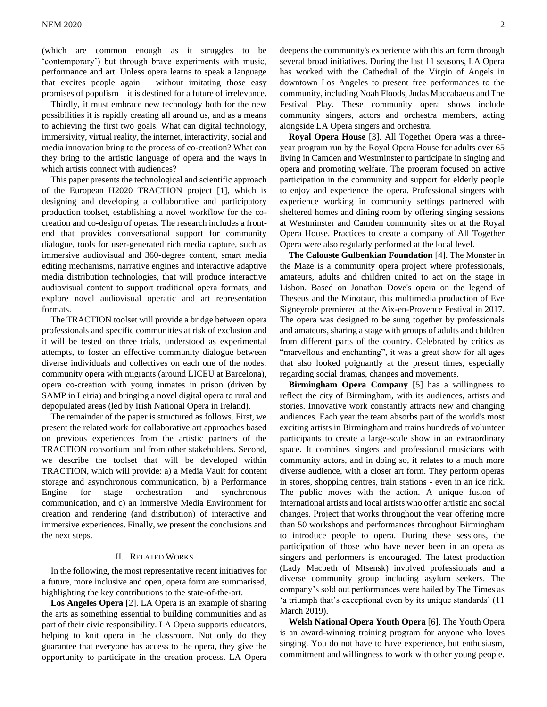(which are common enough as it struggles to be 'contemporary') but through brave experiments with music, performance and art. Unless opera learns to speak a language that excites people again – without imitating those easy promises of populism – it is destined for a future of irrelevance.

Thirdly, it must embrace new technology both for the new possibilities it is rapidly creating all around us, and as a means to achieving the first two goals. What can digital technology, immersivity, virtual reality, the internet, interactivity, social and media innovation bring to the process of co-creation? What can they bring to the artistic language of opera and the ways in which artists connect with audiences?

This paper presents the technological and scientific approach of the European H2020 TRACTION project [1], which is designing and developing a collaborative and participatory production toolset, establishing a novel workflow for the cocreation and co-design of operas. The research includes a frontend that provides conversational support for community dialogue, tools for user-generated rich media capture, such as immersive audiovisual and 360-degree content, smart media editing mechanisms, narrative engines and interactive adaptive media distribution technologies, that will produce interactive audiovisual content to support traditional opera formats, and explore novel audiovisual operatic and art representation formats.

The TRACTION toolset will provide a bridge between opera professionals and specific communities at risk of exclusion and it will be tested on three trials, understood as experimental attempts, to foster an effective community dialogue between diverse individuals and collectives on each one of the nodes: community opera with migrants (around LICEU at Barcelona), opera co-creation with young inmates in prison (driven by SAMP in Leiria) and bringing a novel digital opera to rural and depopulated areas (led by Irish National Opera in Ireland).

The remainder of the paper is structured as follows. First, we present the related work for collaborative art approaches based on previous experiences from the artistic partners of the TRACTION consortium and from other stakeholders. Second, we describe the toolset that will be developed within TRACTION, which will provide: a) a Media Vault for content storage and asynchronous communication, b) a Performance Engine for stage orchestration and synchronous communication, and c) an Immersive Media Environment for creation and rendering (and distribution) of interactive and immersive experiences. Finally, we present the conclusions and the next steps.

# II. RELATED WORKS

In the following, the most representative recent initiatives for a future, more inclusive and open, opera form are summarised, highlighting the key contributions to the state-of-the-art.

**Los Angeles Opera** [2]. LA Opera is an example of sharing the arts as something essential to building communities and as part of their civic responsibility. LA Opera supports educators, helping to knit opera in the classroom. Not only do they guarantee that everyone has access to the opera, they give the opportunity to participate in the creation process. LA Opera deepens the community's experience with this art form through several broad initiatives. During the last 11 seasons, LA Opera has worked with the Cathedral of the Virgin of Angels in downtown Los Angeles to present free performances to the community, including Noah Floods, Judas Maccabaeus and The Festival Play. These community opera shows include community singers, actors and orchestra members, acting alongside LA Opera singers and orchestra.

**Royal Opera House** [3]. All Together Opera was a threeyear program run by the Royal Opera House for adults over 65 living in Camden and Westminster to participate in singing and opera and promoting welfare. The program focused on active participation in the community and support for elderly people to enjoy and experience the opera. Professional singers with experience working in community settings partnered with sheltered homes and dining room by offering singing sessions at Westminster and Camden community sites or at the Royal Opera House. Practices to create a company of All Together Opera were also regularly performed at the local level.

**The Calouste Gulbenkian Foundation** [4]. The Monster in the Maze is a community opera project where professionals, amateurs, adults and children united to act on the stage in Lisbon. Based on Jonathan Dove's opera on the legend of Theseus and the Minotaur, this multimedia production of Eve Signeyrole premiered at the Aix-en-Provence Festival in 2017. The opera was designed to be sung together by professionals and amateurs, sharing a stage with groups of adults and children from different parts of the country. Celebrated by critics as "marvellous and enchanting", it was a great show for all ages that also looked poignantly at the present times, especially regarding social dramas, changes and movements.

**Birmingham Opera Company** [5] has a willingness to reflect the city of Birmingham, with its audiences, artists and stories. Innovative work constantly attracts new and changing audiences. Each year the team absorbs part of the world's most exciting artists in Birmingham and trains hundreds of volunteer participants to create a large-scale show in an extraordinary space. It combines singers and professional musicians with community actors, and in doing so, it relates to a much more diverse audience, with a closer art form. They perform operas in stores, shopping centres, train stations - even in an ice rink. The public moves with the action. A unique fusion of international artists and local artists who offer artistic and social changes. Project that works throughout the year offering more than 50 workshops and performances throughout Birmingham to introduce people to opera. During these sessions, the participation of those who have never been in an opera as singers and performers is encouraged. The latest production (Lady Macbeth of Mtsensk) involved professionals and a diverse community group including asylum seekers. The company's sold out performances were hailed by The Times as 'a triumph that's exceptional even by its unique standards' (11 March 2019).

**Welsh National Opera Youth Opera** [6]. The Youth Opera is an award-winning training program for anyone who loves singing. You do not have to have experience, but enthusiasm, commitment and willingness to work with other young people.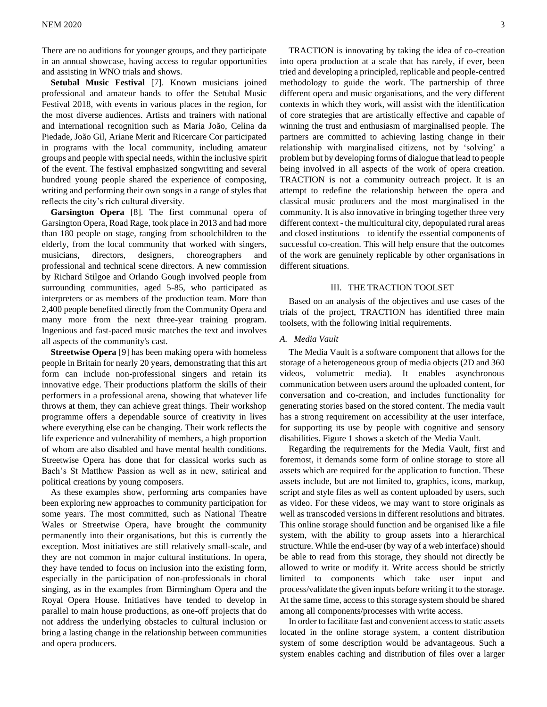There are no auditions for younger groups, and they participate in an annual showcase, having access to regular opportunities and assisting in WNO trials and shows.

**Setubal Music Festival** [7]. Known musicians joined professional and amateur bands to offer the Setubal Music Festival 2018, with events in various places in the region, for the most diverse audiences. Artists and trainers with national and international recognition such as Maria João, Celina da Piedade, João Gil, Ariane Merit and Ricercare Cor participated in programs with the local community, including amateur groups and people with special needs, within the inclusive spirit of the event. The festival emphasized songwriting and several hundred young people shared the experience of composing, writing and performing their own songs in a range of styles that reflects the city's rich cultural diversity.

**Garsington Opera** [8]. The first communal opera of Garsington Opera, Road Rage, took place in 2013 and had more than 180 people on stage, ranging from schoolchildren to the elderly, from the local community that worked with singers, musicians, directors, designers, choreographers and professional and technical scene directors. A new commission by Richard Stilgoe and Orlando Gough involved people from surrounding communities, aged 5-85, who participated as interpreters or as members of the production team. More than 2,400 people benefited directly from the Community Opera and many more from the next three-year training program. Ingenious and fast-paced music matches the text and involves all aspects of the community's cast.

**Streetwise Opera** [9] has been making opera with homeless people in Britain for nearly 20 years, demonstrating that this art form can include non-professional singers and retain its innovative edge. Their productions platform the skills of their performers in a professional arena, showing that whatever life throws at them, they can achieve great things. Their workshop programme offers a dependable source of creativity in lives where everything else can be changing. Their work reflects the life experience and vulnerability of members, a high proportion of whom are also disabled and have mental health conditions. Streetwise Opera has done that for classical works such as Bach's St Matthew Passion as well as in new, satirical and political creations by young composers.

As these examples show, performing arts companies have been exploring new approaches to community participation for some years. The most committed, such as National Theatre Wales or Streetwise Opera, have brought the community permanently into their organisations, but this is currently the exception. Most initiatives are still relatively small-scale, and they are not common in major cultural institutions. In opera, they have tended to focus on inclusion into the existing form, especially in the participation of non-professionals in choral singing, as in the examples from Birmingham Opera and the Royal Opera House. Initiatives have tended to develop in parallel to main house productions, as one-off projects that do not address the underlying obstacles to cultural inclusion or bring a lasting change in the relationship between communities and opera producers.

TRACTION is innovating by taking the idea of co-creation into opera production at a scale that has rarely, if ever, been tried and developing a principled, replicable and people-centred methodology to guide the work. The partnership of three different opera and music organisations, and the very different contexts in which they work, will assist with the identification of core strategies that are artistically effective and capable of winning the trust and enthusiasm of marginalised people. The partners are committed to achieving lasting change in their relationship with marginalised citizens, not by 'solving' a problem but by developing forms of dialogue that lead to people being involved in all aspects of the work of opera creation. TRACTION is not a community outreach project. It is an attempt to redefine the relationship between the opera and classical music producers and the most marginalised in the community. It is also innovative in bringing together three very different context - the multicultural city, depopulated rural areas and closed institutions – to identify the essential components of successful co-creation. This will help ensure that the outcomes of the work are genuinely replicable by other organisations in different situations.

# III. THE TRACTION TOOLSET

Based on an analysis of the objectives and use cases of the trials of the project, TRACTION has identified three main toolsets, with the following initial requirements.

# *A. Media Vault*

The Media Vault is a software component that allows for the storage of a heterogeneous group of media objects (2D and 360 videos, volumetric media). It enables asynchronous communication between users around the uploaded content, for conversation and co-creation, and includes functionality for generating stories based on the stored content. The media vault has a strong requirement on accessibility at the user interface, for supporting its use by people with cognitive and sensory disabilities. Figure 1 shows a sketch of the Media Vault.

Regarding the requirements for the Media Vault, first and foremost, it demands some form of online storage to store all assets which are required for the application to function. These assets include, but are not limited to, graphics, icons, markup, script and style files as well as content uploaded by users, such as video. For these videos, we may want to store originals as well as transcoded versions in different resolutions and bitrates. This online storage should function and be organised like a file system, with the ability to group assets into a hierarchical structure. While the end-user (by way of a web interface) should be able to read from this storage, they should not directly be allowed to write or modify it. Write access should be strictly limited to components which take user input and process/validate the given inputs before writing it to the storage. At the same time, access to this storage system should be shared among all components/processes with write access.

In order to facilitate fast and convenient access to static assets located in the online storage system, a content distribution system of some description would be advantageous. Such a system enables caching and distribution of files over a larger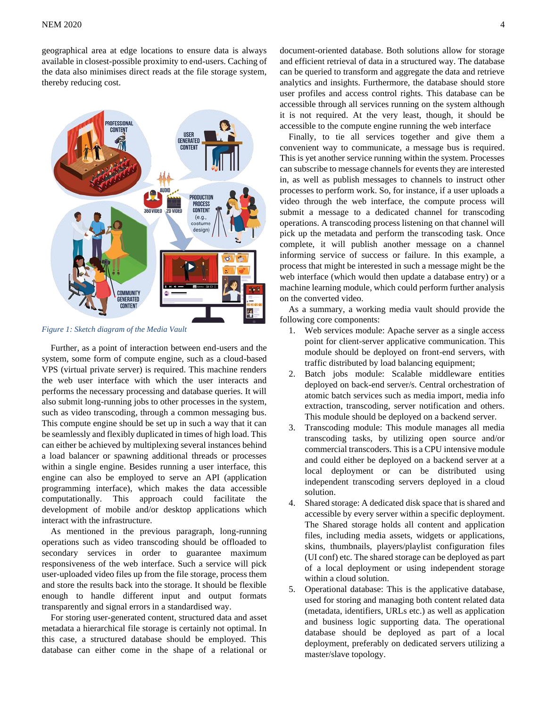## $NEM$  2020  $4$

geographical area at edge locations to ensure data is always available in closest-possible proximity to end-users. Caching of the data also minimises direct reads at the file storage system, thereby reducing cost.



*Figure 1: Sketch diagram of the Media Vault*

Further, as a point of interaction between end-users and the system, some form of compute engine, such as a cloud-based VPS (virtual private server) is required. This machine renders the web user interface with which the user interacts and performs the necessary processing and database queries. It will also submit long-running jobs to other processes in the system, such as video transcoding, through a common messaging bus. This compute engine should be set up in such a way that it can be seamlessly and flexibly duplicated in times of high load. This can either be achieved by multiplexing several instances behind a load balancer or spawning additional threads or processes within a single engine. Besides running a user interface, this engine can also be employed to serve an API (application programming interface), which makes the data accessible computationally. This approach could facilitate the development of mobile and/or desktop applications which interact with the infrastructure.

As mentioned in the previous paragraph, long-running operations such as video transcoding should be offloaded to secondary services in order to guarantee maximum responsiveness of the web interface. Such a service will pick user-uploaded video files up from the file storage, process them and store the results back into the storage. It should be flexible enough to handle different input and output formats transparently and signal errors in a standardised way.

For storing user-generated content, structured data and asset metadata a hierarchical file storage is certainly not optimal. In this case, a structured database should be employed. This database can either come in the shape of a relational or document-oriented database. Both solutions allow for storage and efficient retrieval of data in a structured way. The database can be queried to transform and aggregate the data and retrieve analytics and insights. Furthermore, the database should store user profiles and access control rights. This database can be accessible through all services running on the system although it is not required. At the very least, though, it should be accessible to the compute engine running the web interface

Finally, to tie all services together and give them a convenient way to communicate, a message bus is required. This is yet another service running within the system. Processes can subscribe to message channels for events they are interested in, as well as publish messages to channels to instruct other processes to perform work. So, for instance, if a user uploads a video through the web interface, the compute process will submit a message to a dedicated channel for transcoding operations. A transcoding process listening on that channel will pick up the metadata and perform the transcoding task. Once complete, it will publish another message on a channel informing service of success or failure. In this example, a process that might be interested in such a message might be the web interface (which would then update a database entry) or a machine learning module, which could perform further analysis on the converted video.

As a summary, a working media vault should provide the following core components:

- 1. Web services module: Apache server as a single access point for client-server applicative communication. This module should be deployed on front-end servers, with traffic distributed by load balancing equipment;
- 2. Batch jobs module: Scalable middleware entities deployed on back-end server/s. Central orchestration of atomic batch services such as media import, media info extraction, transcoding, server notification and others. This module should be deployed on a backend server.
- 3. Transcoding module: This module manages all media transcoding tasks, by utilizing open source and/or commercial transcoders. This is a CPU intensive module and could either be deployed on a backend server at a local deployment or can be distributed using independent transcoding servers deployed in a cloud solution.
- 4. Shared storage: A dedicated disk space that is shared and accessible by every server within a specific deployment. The Shared storage holds all content and application files, including media assets, widgets or applications, skins, thumbnails, players/playlist configuration files (UI conf) etc. The shared storage can be deployed as part of a local deployment or using independent storage within a cloud solution.
- 5. Operational database: This is the applicative database, used for storing and managing both content related data (metadata, identifiers, URLs etc.) as well as application and business logic supporting data. The operational database should be deployed as part of a local deployment, preferably on dedicated servers utilizing a master/slave topology.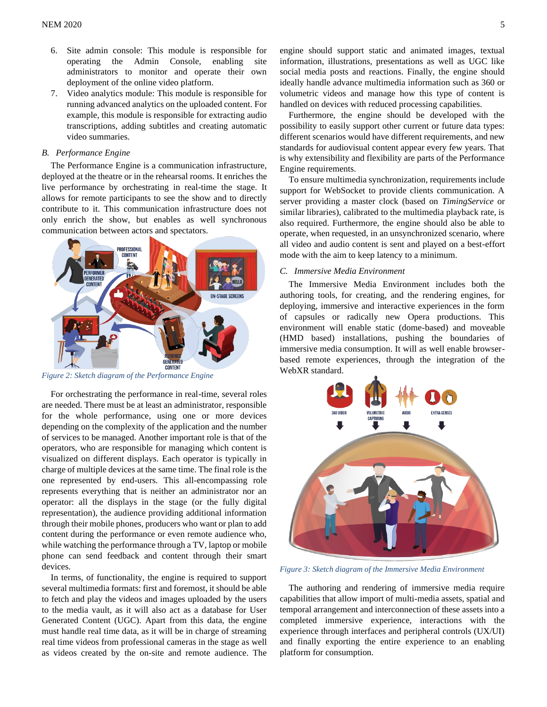- 6. Site admin console: This module is responsible for operating the Admin Console, enabling site administrators to monitor and operate their own deployment of the online video platform.
- 7. Video analytics module: This module is responsible for running advanced analytics on the uploaded content. For example, this module is responsible for extracting audio transcriptions, adding subtitles and creating automatic video summaries.

# *B. Performance Engine*

The Performance Engine is a communication infrastructure, deployed at the theatre or in the rehearsal rooms. It enriches the live performance by orchestrating in real-time the stage. It allows for remote participants to see the show and to directly contribute to it. This communication infrastructure does not only enrich the show, but enables as well synchronous communication between actors and spectators.



*Figure 2: Sketch diagram of the Performance Engine*

For orchestrating the performance in real-time, several roles are needed. There must be at least an administrator, responsible for the whole performance, using one or more devices depending on the complexity of the application and the number of services to be managed. Another important role is that of the operators, who are responsible for managing which content is visualized on different displays. Each operator is typically in charge of multiple devices at the same time. The final role is the one represented by end-users. This all-encompassing role represents everything that is neither an administrator nor an operator: all the displays in the stage (or the fully digital representation), the audience providing additional information through their mobile phones, producers who want or plan to add content during the performance or even remote audience who, while watching the performance through a TV, laptop or mobile phone can send feedback and content through their smart devices.

In terms, of functionality, the engine is required to support several multimedia formats: first and foremost, it should be able to fetch and play the videos and images uploaded by the users to the media vault, as it will also act as a database for User Generated Content (UGC). Apart from this data, the engine must handle real time data, as it will be in charge of streaming real time videos from professional cameras in the stage as well as videos created by the on-site and remote audience. The

engine should support static and animated images, textual information, illustrations, presentations as well as UGC like social media posts and reactions. Finally, the engine should ideally handle advance multimedia information such as 360 or volumetric videos and manage how this type of content is handled on devices with reduced processing capabilities.

Furthermore, the engine should be developed with the possibility to easily support other current or future data types: different scenarios would have different requirements, and new standards for audiovisual content appear every few years. That is why extensibility and flexibility are parts of the Performance Engine requirements.

To ensure multimedia synchronization, requirements include support for WebSocket to provide clients communication. A server providing a master clock (based on *TimingService* or similar libraries), calibrated to the multimedia playback rate, is also required. Furthermore, the engine should also be able to operate, when requested, in an unsynchronized scenario, where all video and audio content is sent and played on a best-effort mode with the aim to keep latency to a minimum.

#### *C. Immersive Media Environment*

The Immersive Media Environment includes both the authoring tools, for creating, and the rendering engines, for deploying, immersive and interactive experiences in the form of capsules or radically new Opera productions. This environment will enable static (dome-based) and moveable (HMD based) installations, pushing the boundaries of immersive media consumption. It will as well enable browserbased remote experiences, through the integration of the WebXR standard.



*Figure 3: Sketch diagram of the Immersive Media Environment*

The authoring and rendering of immersive media require capabilities that allow import of multi-media assets, spatial and temporal arrangement and interconnection of these assets into a completed immersive experience, interactions with the experience through interfaces and peripheral controls (UX/UI) and finally exporting the entire experience to an enabling platform for consumption.